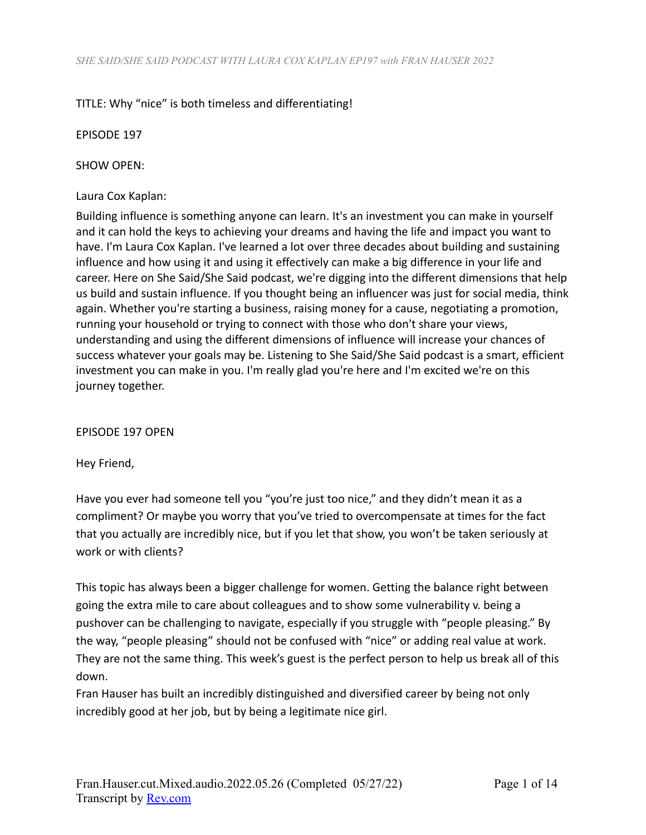# TITLE: Why "nice" is both timeless and differentiating!

EPISODE 197

SHOW OPEN:

#### Laura Cox Kaplan:

Building influence is something anyone can learn. It's an investment you can make in yourself and it can hold the keys to achieving your dreams and having the life and impact you want to have. I'm Laura Cox Kaplan. I've learned a lot over three decades about building and sustaining influence and how using it and using it effectively can make a big difference in your life and career. Here on She Said/She Said podcast, we're digging into the different dimensions that help us build and sustain influence. If you thought being an influencer was just for social media, think again. Whether you're starting a business, raising money for a cause, negotiating a promotion, running your household or trying to connect with those who don't share your views, understanding and using the different dimensions of influence will increase your chances of success whatever your goals may be. Listening to She Said/She Said podcast is a smart, efficient investment you can make in you. I'm really glad you're here and I'm excited we're on this journey together.

EPISODE 197 OPEN

Hey Friend,

Have you ever had someone tell you "you're just too nice," and they didn't mean it as a compliment? Or maybe you worry that you've tried to overcompensate at times for the fact that you actually are incredibly nice, but if you let that show, you won't be taken seriously at work or with clients?

This topic has always been a bigger challenge for women. Getting the balance right between going the extra mile to care about colleagues and to show some vulnerability v. being a pushover can be challenging to navigate, especially if you struggle with "people pleasing." By the way, "people pleasing" should not be confused with "nice" or adding real value at work. They are not the same thing. This week's guest is the perfect person to help us break all of this down.

Fran Hauser has built an incredibly distinguished and diversified career by being not only incredibly good at her job, but by being a legitimate nice girl.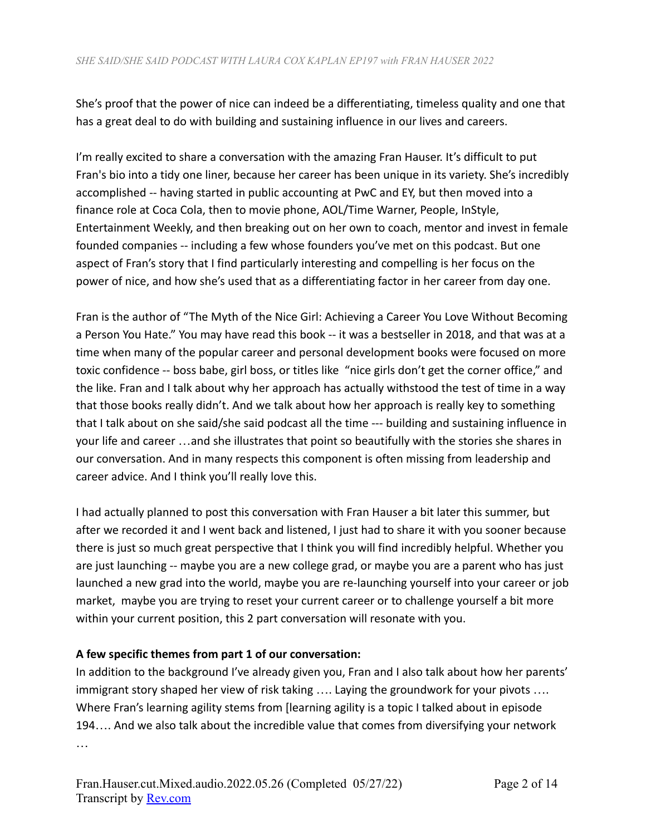She's proof that the power of nice can indeed be a differentiating, timeless quality and one that has a great deal to do with building and sustaining influence in our lives and careers.

I'm really excited to share a conversation with the amazing Fran Hauser. It's difficult to put Fran's bio into a tidy one liner, because her career has been unique in its variety. She's incredibly accomplished -- having started in public accounting at PwC and EY, but then moved into a finance role at Coca Cola, then to movie phone, AOL/Time Warner, People, InStyle, Entertainment Weekly, and then breaking out on her own to coach, mentor and invest in female founded companies -- including a few whose founders you've met on this podcast. But one aspect of Fran's story that I find particularly interesting and compelling is her focus on the power of nice, and how she's used that as a differentiating factor in her career from day one.

Fran is the author of "The Myth of the Nice Girl: Achieving a Career You Love Without Becoming a Person You Hate." You may have read this book -- it was a bestseller in 2018, and that was at a time when many of the popular career and personal development books were focused on more toxic confidence -- boss babe, girl boss, or titles like "nice girls don't get the corner office," and the like. Fran and I talk about why her approach has actually withstood the test of time in a way that those books really didn't. And we talk about how her approach is really key to something that I talk about on she said/she said podcast all the time --- building and sustaining influence in your life and career …and she illustrates that point so beautifully with the stories she shares in our conversation. And in many respects this component is often missing from leadership and career advice. And I think you'll really love this.

I had actually planned to post this conversation with Fran Hauser a bit later this summer, but after we recorded it and I went back and listened, I just had to share it with you sooner because there is just so much great perspective that I think you will find incredibly helpful. Whether you are just launching -- maybe you are a new college grad, or maybe you are a parent who has just launched a new grad into the world, maybe you are re-launching yourself into your career or job market, maybe you are trying to reset your current career or to challenge yourself a bit more within your current position, this 2 part conversation will resonate with you.

# **A few specific themes from part 1 of our conversation:**

In addition to the background I've already given you, Fran and I also talk about how her parents' immigrant story shaped her view of risk taking .... Laying the groundwork for your pivots .... Where Fran's learning agility stems from [learning agility is a topic I talked about in episode 194…. And we also talk about the incredible value that comes from diversifying your network …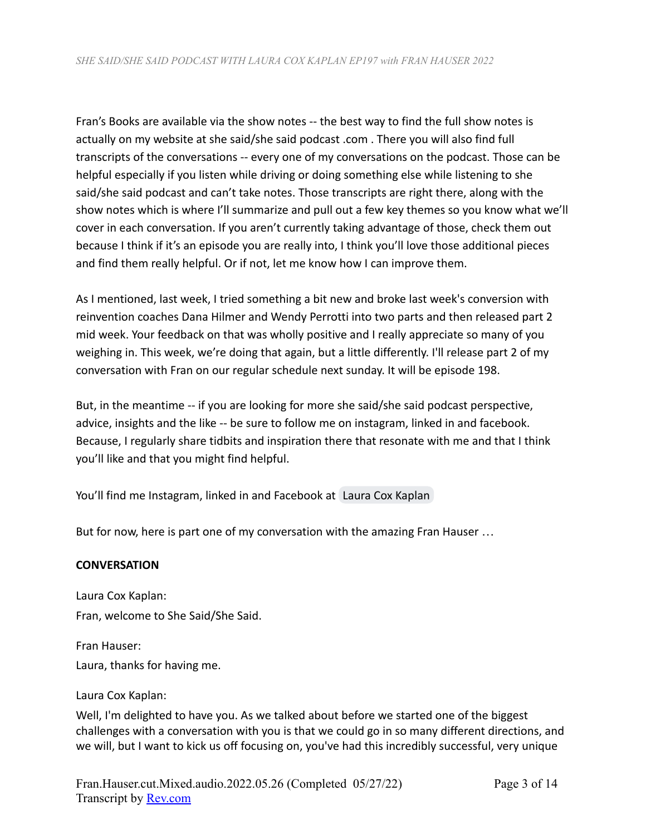Fran's Books are available via the show notes -- the best way to find the full show notes is actually on my website at she said/she said podcast .com . There you will also find full transcripts of the conversations -- every one of my conversations on the podcast. Those can be helpful especially if you listen while driving or doing something else while listening to she said/she said podcast and can't take notes. Those transcripts are right there, along with the show notes which is where I'll summarize and pull out a few key themes so you know what we'll cover in each conversation. If you aren't currently taking advantage of those, check them out because I think if it's an episode you are really into, I think you'll love those additional pieces and find them really helpful. Or if not, let me know how I can improve them.

As I mentioned, last week, I tried something a bit new and broke last week's conversion with reinvention coaches Dana Hilmer and Wendy Perrotti into two parts and then released part 2 mid week. Your feedback on that was wholly positive and I really appreciate so many of you weighing in. This week, we're doing that again, but a little differently. I'll release part 2 of my conversation with Fran on our regular schedule next sunday. It will be episode 198.

But, in the meantime -- if you are looking for more she said/she said podcast perspective, advice, insights and the like -- be sure to follow me on instagram, linked in and facebook. Because, I regularly share tidbits and inspiration there that resonate with me and that I think you'll like and that you might find helpful.

You'll find me Instagram, linked in and Facebook at [Laura Cox Kaplan](mailto:lauracoxkaplan@gmail.com)

But for now, here is part one of my conversation with the amazing Fran Hauser …

# **CONVERSATION**

Laura Cox Kaplan: Fran, welcome to She Said/She Said.

Fran Hauser: Laura, thanks for having me.

# Laura Cox Kaplan:

Well, I'm delighted to have you. As we talked about before we started one of the biggest challenges with a conversation with you is that we could go in so many different directions, and we will, but I want to kick us off focusing on, you've had this incredibly successful, very unique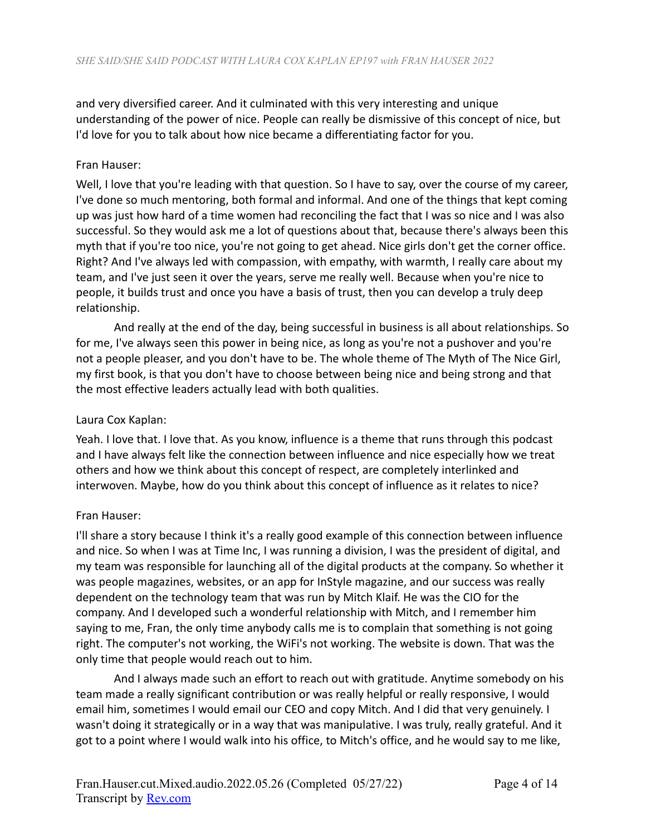and very diversified career. And it culminated with this very interesting and unique understanding of the power of nice. People can really be dismissive of this concept of nice, but I'd love for you to talk about how nice became a differentiating factor for you.

# Fran Hauser:

Well, I love that you're leading with that question. So I have to say, over the course of my career, I've done so much mentoring, both formal and informal. And one of the things that kept coming up was just how hard of a time women had reconciling the fact that I was so nice and I was also successful. So they would ask me a lot of questions about that, because there's always been this myth that if you're too nice, you're not going to get ahead. Nice girls don't get the corner office. Right? And I've always led with compassion, with empathy, with warmth, I really care about my team, and I've just seen it over the years, serve me really well. Because when you're nice to people, it builds trust and once you have a basis of trust, then you can develop a truly deep relationship.

And really at the end of the day, being successful in business is all about relationships. So for me, I've always seen this power in being nice, as long as you're not a pushover and you're not a people pleaser, and you don't have to be. The whole theme of The Myth of The Nice Girl, my first book, is that you don't have to choose between being nice and being strong and that the most effective leaders actually lead with both qualities.

### Laura Cox Kaplan:

Yeah. I love that. I love that. As you know, influence is a theme that runs through this podcast and I have always felt like the connection between influence and nice especially how we treat others and how we think about this concept of respect, are completely interlinked and interwoven. Maybe, how do you think about this concept of influence as it relates to nice?

# Fran Hauser:

I'll share a story because I think it's a really good example of this connection between influence and nice. So when I was at Time Inc, I was running a division, I was the president of digital, and my team was responsible for launching all of the digital products at the company. So whether it was people magazines, websites, or an app for InStyle magazine, and our success was really dependent on the technology team that was run by Mitch Klaif. He was the CIO for the company. And I developed such a wonderful relationship with Mitch, and I remember him saying to me, Fran, the only time anybody calls me is to complain that something is not going right. The computer's not working, the WiFi's not working. The website is down. That was the only time that people would reach out to him.

And I always made such an effort to reach out with gratitude. Anytime somebody on his team made a really significant contribution or was really helpful or really responsive, I would email him, sometimes I would email our CEO and copy Mitch. And I did that very genuinely. I wasn't doing it strategically or in a way that was manipulative. I was truly, really grateful. And it got to a point where I would walk into his office, to Mitch's office, and he would say to me like,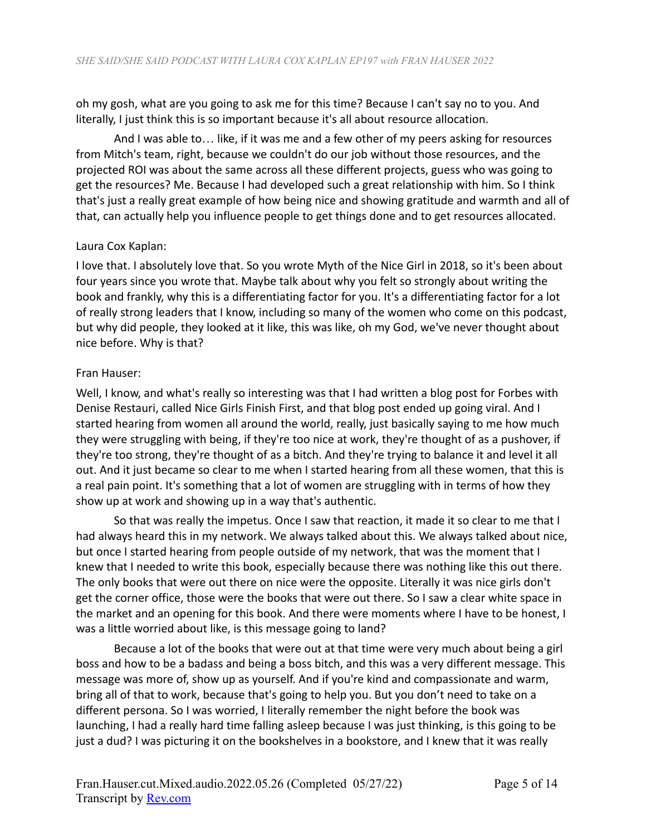oh my gosh, what are you going to ask me for this time? Because I can't say no to you. And literally, I just think this is so important because it's all about resource allocation.

And I was able to… like, if it was me and a few other of my peers asking for resources from Mitch's team, right, because we couldn't do our job without those resources, and the projected ROI was about the same across all these different projects, guess who was going to get the resources? Me. Because I had developed such a great relationship with him. So I think that's just a really great example of how being nice and showing gratitude and warmth and all of that, can actually help you influence people to get things done and to get resources allocated.

# Laura Cox Kaplan:

I love that. I absolutely love that. So you wrote Myth of the Nice Girl in 2018, so it's been about four years since you wrote that. Maybe talk about why you felt so strongly about writing the book and frankly, why this is a differentiating factor for you. It's a differentiating factor for a lot of really strong leaders that I know, including so many of the women who come on this podcast, but why did people, they looked at it like, this was like, oh my God, we've never thought about nice before. Why is that?

# Fran Hauser:

Well, I know, and what's really so interesting was that I had written a blog post for Forbes with Denise Restauri, called Nice Girls Finish First, and that blog post ended up going viral. And I started hearing from women all around the world, really, just basically saying to me how much they were struggling with being, if they're too nice at work, they're thought of as a pushover, if they're too strong, they're thought of as a bitch. And they're trying to balance it and level it all out. And it just became so clear to me when I started hearing from all these women, that this is a real pain point. It's something that a lot of women are struggling with in terms of how they show up at work and showing up in a way that's authentic.

So that was really the impetus. Once I saw that reaction, it made it so clear to me that I had always heard this in my network. We always talked about this. We always talked about nice, but once I started hearing from people outside of my network, that was the moment that I knew that I needed to write this book, especially because there was nothing like this out there. The only books that were out there on nice were the opposite. Literally it was nice girls don't get the corner office, those were the books that were out there. So I saw a clear white space in the market and an opening for this book. And there were moments where I have to be honest, I was a little worried about like, is this message going to land?

Because a lot of the books that were out at that time were very much about being a girl boss and how to be a badass and being a boss bitch, and this was a very different message. This message was more of, show up as yourself. And if you're kind and compassionate and warm, bring all of that to work, because that's going to help you. But you don't need to take on a different persona. So I was worried, I literally remember the night before the book was launching, I had a really hard time falling asleep because I was just thinking, is this going to be just a dud? I was picturing it on the bookshelves in a bookstore, and I knew that it was really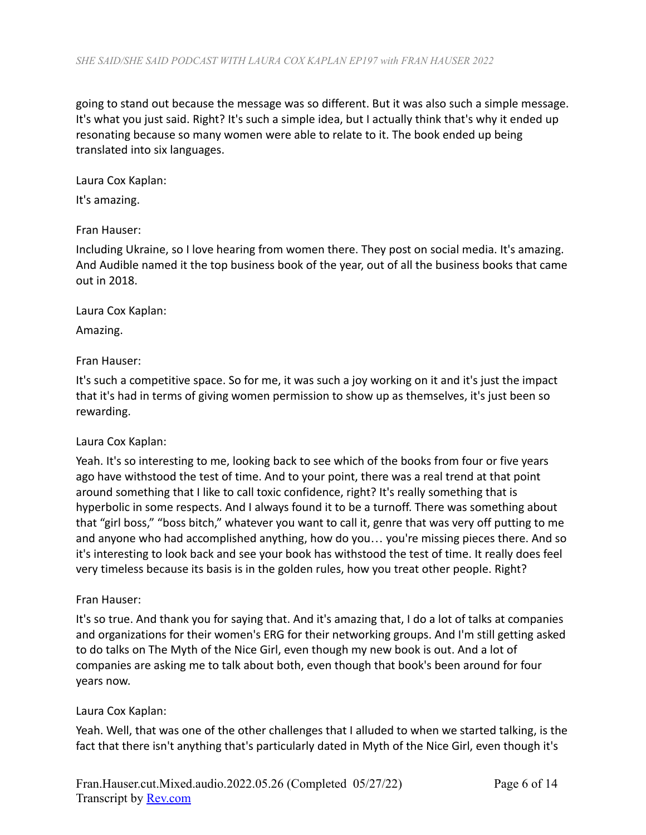going to stand out because the message was so different. But it was also such a simple message. It's what you just said. Right? It's such a simple idea, but I actually think that's why it ended up resonating because so many women were able to relate to it. The book ended up being translated into six languages.

Laura Cox Kaplan:

It's amazing.

### Fran Hauser:

Including Ukraine, so I love hearing from women there. They post on social media. It's amazing. And Audible named it the top business book of the year, out of all the business books that came out in 2018.

Laura Cox Kaplan:

Amazing.

Fran Hauser:

It's such a competitive space. So for me, it was such a joy working on it and it's just the impact that it's had in terms of giving women permission to show up as themselves, it's just been so rewarding.

### Laura Cox Kaplan:

Yeah. It's so interesting to me, looking back to see which of the books from four or five years ago have withstood the test of time. And to your point, there was a real trend at that point around something that I like to call toxic confidence, right? It's really something that is hyperbolic in some respects. And I always found it to be a turnoff. There was something about that "girl boss," "boss bitch," whatever you want to call it, genre that was very off putting to me and anyone who had accomplished anything, how do you… you're missing pieces there. And so it's interesting to look back and see your book has withstood the test of time. It really does feel very timeless because its basis is in the golden rules, how you treat other people. Right?

### Fran Hauser:

It's so true. And thank you for saying that. And it's amazing that, I do a lot of talks at companies and organizations for their women's ERG for their networking groups. And I'm still getting asked to do talks on The Myth of the Nice Girl, even though my new book is out. And a lot of companies are asking me to talk about both, even though that book's been around for four years now.

### Laura Cox Kaplan:

Yeah. Well, that was one of the other challenges that I alluded to when we started talking, is the fact that there isn't anything that's particularly dated in Myth of the Nice Girl, even though it's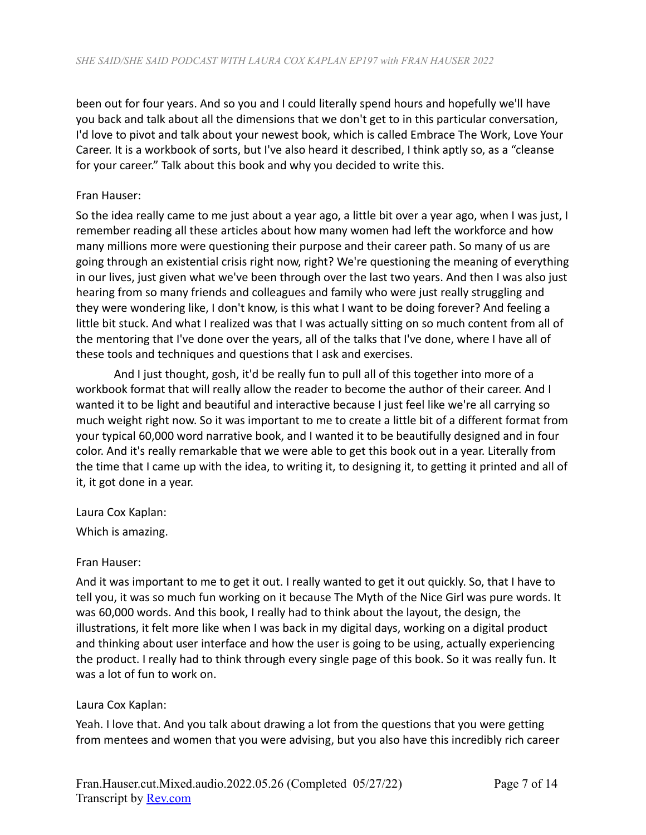been out for four years. And so you and I could literally spend hours and hopefully we'll have you back and talk about all the dimensions that we don't get to in this particular conversation, I'd love to pivot and talk about your newest book, which is called Embrace The Work, Love Your Career. It is a workbook of sorts, but I've also heard it described, I think aptly so, as a "cleanse for your career." Talk about this book and why you decided to write this.

### Fran Hauser:

So the idea really came to me just about a year ago, a little bit over a year ago, when I was just, I remember reading all these articles about how many women had left the workforce and how many millions more were questioning their purpose and their career path. So many of us are going through an existential crisis right now, right? We're questioning the meaning of everything in our lives, just given what we've been through over the last two years. And then I was also just hearing from so many friends and colleagues and family who were just really struggling and they were wondering like, I don't know, is this what I want to be doing forever? And feeling a little bit stuck. And what I realized was that I was actually sitting on so much content from all of the mentoring that I've done over the years, all of the talks that I've done, where I have all of these tools and techniques and questions that I ask and exercises.

And I just thought, gosh, it'd be really fun to pull all of this together into more of a workbook format that will really allow the reader to become the author of their career. And I wanted it to be light and beautiful and interactive because I just feel like we're all carrying so much weight right now. So it was important to me to create a little bit of a different format from your typical 60,000 word narrative book, and I wanted it to be beautifully designed and in four color. And it's really remarkable that we were able to get this book out in a year. Literally from the time that I came up with the idea, to writing it, to designing it, to getting it printed and all of it, it got done in a year.

Laura Cox Kaplan:

Which is amazing.

### Fran Hauser:

And it was important to me to get it out. I really wanted to get it out quickly. So, that I have to tell you, it was so much fun working on it because The Myth of the Nice Girl was pure words. It was 60,000 words. And this book, I really had to think about the layout, the design, the illustrations, it felt more like when I was back in my digital days, working on a digital product and thinking about user interface and how the user is going to be using, actually experiencing the product. I really had to think through every single page of this book. So it was really fun. It was a lot of fun to work on.

### Laura Cox Kaplan:

Yeah. I love that. And you talk about drawing a lot from the questions that you were getting from mentees and women that you were advising, but you also have this incredibly rich career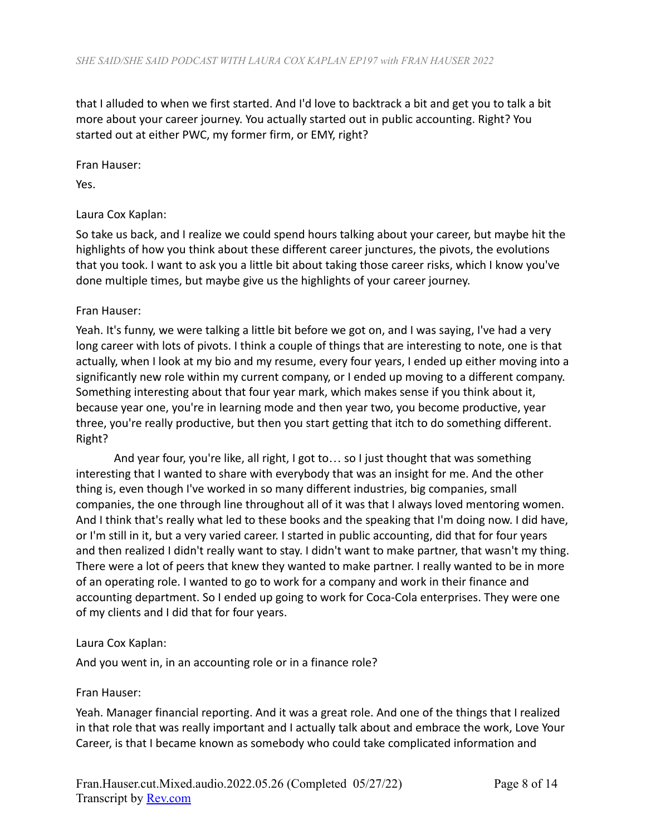that I alluded to when we first started. And I'd love to backtrack a bit and get you to talk a bit more about your career journey. You actually started out in public accounting. Right? You started out at either PWC, my former firm, or EMY, right?

Fran Hauser:

Yes.

# Laura Cox Kaplan:

So take us back, and I realize we could spend hours talking about your career, but maybe hit the highlights of how you think about these different career junctures, the pivots, the evolutions that you took. I want to ask you a little bit about taking those career risks, which I know you've done multiple times, but maybe give us the highlights of your career journey.

### Fran Hauser:

Yeah. It's funny, we were talking a little bit before we got on, and I was saying, I've had a very long career with lots of pivots. I think a couple of things that are interesting to note, one is that actually, when I look at my bio and my resume, every four years, I ended up either moving into a significantly new role within my current company, or I ended up moving to a different company. Something interesting about that four year mark, which makes sense if you think about it, because year one, you're in learning mode and then year two, you become productive, year three, you're really productive, but then you start getting that itch to do something different. Right?

And year four, you're like, all right, I got to… so I just thought that was something interesting that I wanted to share with everybody that was an insight for me. And the other thing is, even though I've worked in so many different industries, big companies, small companies, the one through line throughout all of it was that I always loved mentoring women. And I think that's really what led to these books and the speaking that I'm doing now. I did have, or I'm still in it, but a very varied career. I started in public accounting, did that for four years and then realized I didn't really want to stay. I didn't want to make partner, that wasn't my thing. There were a lot of peers that knew they wanted to make partner. I really wanted to be in more of an operating role. I wanted to go to work for a company and work in their finance and accounting department. So I ended up going to work for Coca-Cola enterprises. They were one of my clients and I did that for four years.

### Laura Cox Kaplan:

And you went in, in an accounting role or in a finance role?

### Fran Hauser:

Yeah. Manager financial reporting. And it was a great role. And one of the things that I realized in that role that was really important and I actually talk about and embrace the work, Love Your Career, is that I became known as somebody who could take complicated information and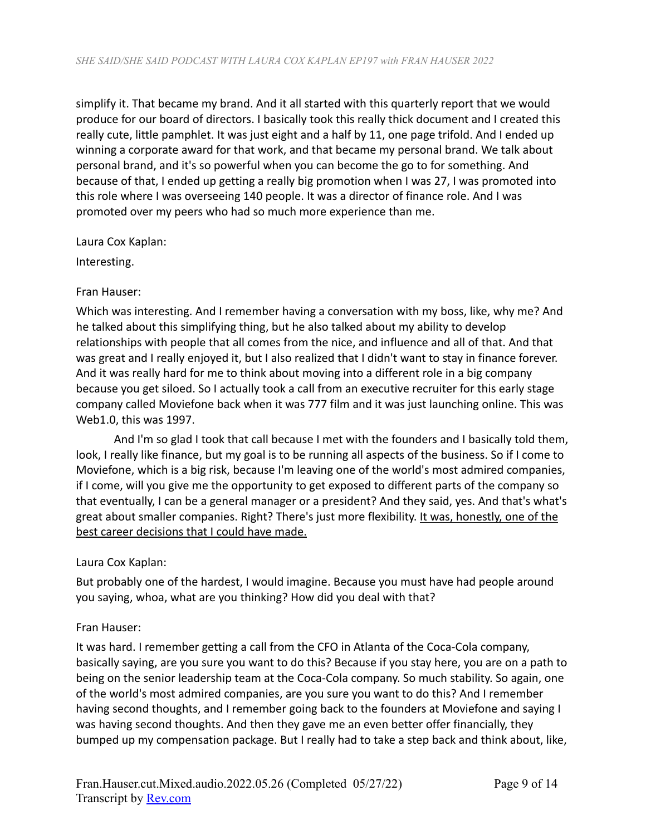simplify it. That became my brand. And it all started with this quarterly report that we would produce for our board of directors. I basically took this really thick document and I created this really cute, little pamphlet. It was just eight and a half by 11, one page trifold. And I ended up winning a corporate award for that work, and that became my personal brand. We talk about personal brand, and it's so powerful when you can become the go to for something. And because of that, I ended up getting a really big promotion when I was 27, I was promoted into this role where I was overseeing 140 people. It was a director of finance role. And I was promoted over my peers who had so much more experience than me.

### Laura Cox Kaplan:

Interesting.

### Fran Hauser:

Which was interesting. And I remember having a conversation with my boss, like, why me? And he talked about this simplifying thing, but he also talked about my ability to develop relationships with people that all comes from the nice, and influence and all of that. And that was great and I really enjoyed it, but I also realized that I didn't want to stay in finance forever. And it was really hard for me to think about moving into a different role in a big company because you get siloed. So I actually took a call from an executive recruiter for this early stage company called Moviefone back when it was 777 film and it was just launching online. This was Web1.0, this was 1997.

And I'm so glad I took that call because I met with the founders and I basically told them, look, I really like finance, but my goal is to be running all aspects of the business. So if I come to Moviefone, which is a big risk, because I'm leaving one of the world's most admired companies, if I come, will you give me the opportunity to get exposed to different parts of the company so that eventually, I can be a general manager or a president? And they said, yes. And that's what's great about smaller companies. Right? There's just more flexibility. It was, honestly, one of the best career decisions that I could have made.

### Laura Cox Kaplan:

But probably one of the hardest, I would imagine. Because you must have had people around you saying, whoa, what are you thinking? How did you deal with that?

### Fran Hauser:

It was hard. I remember getting a call from the CFO in Atlanta of the Coca-Cola company, basically saying, are you sure you want to do this? Because if you stay here, you are on a path to being on the senior leadership team at the Coca-Cola company. So much stability. So again, one of the world's most admired companies, are you sure you want to do this? And I remember having second thoughts, and I remember going back to the founders at Moviefone and saying I was having second thoughts. And then they gave me an even better offer financially, they bumped up my compensation package. But I really had to take a step back and think about, like,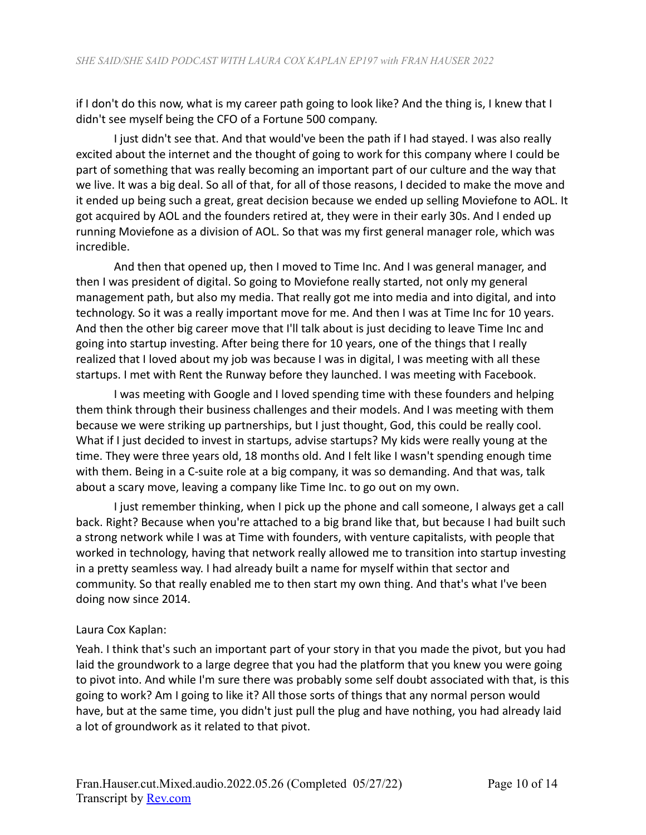if I don't do this now, what is my career path going to look like? And the thing is, I knew that I didn't see myself being the CFO of a Fortune 500 company.

I just didn't see that. And that would've been the path if I had stayed. I was also really excited about the internet and the thought of going to work for this company where I could be part of something that was really becoming an important part of our culture and the way that we live. It was a big deal. So all of that, for all of those reasons, I decided to make the move and it ended up being such a great, great decision because we ended up selling Moviefone to AOL. It got acquired by AOL and the founders retired at, they were in their early 30s. And I ended up running Moviefone as a division of AOL. So that was my first general manager role, which was incredible.

And then that opened up, then I moved to Time Inc. And I was general manager, and then I was president of digital. So going to Moviefone really started, not only my general management path, but also my media. That really got me into media and into digital, and into technology. So it was a really important move for me. And then I was at Time Inc for 10 years. And then the other big career move that I'll talk about is just deciding to leave Time Inc and going into startup investing. After being there for 10 years, one of the things that I really realized that I loved about my job was because I was in digital, I was meeting with all these startups. I met with Rent the Runway before they launched. I was meeting with Facebook.

I was meeting with Google and I loved spending time with these founders and helping them think through their business challenges and their models. And I was meeting with them because we were striking up partnerships, but I just thought, God, this could be really cool. What if I just decided to invest in startups, advise startups? My kids were really young at the time. They were three years old, 18 months old. And I felt like I wasn't spending enough time with them. Being in a C-suite role at a big company, it was so demanding. And that was, talk about a scary move, leaving a company like Time Inc. to go out on my own.

I just remember thinking, when I pick up the phone and call someone, I always get a call back. Right? Because when you're attached to a big brand like that, but because I had built such a strong network while I was at Time with founders, with venture capitalists, with people that worked in technology, having that network really allowed me to transition into startup investing in a pretty seamless way. I had already built a name for myself within that sector and community. So that really enabled me to then start my own thing. And that's what I've been doing now since 2014.

# Laura Cox Kaplan:

Yeah. I think that's such an important part of your story in that you made the pivot, but you had laid the groundwork to a large degree that you had the platform that you knew you were going to pivot into. And while I'm sure there was probably some self doubt associated with that, is this going to work? Am I going to like it? All those sorts of things that any normal person would have, but at the same time, you didn't just pull the plug and have nothing, you had already laid a lot of groundwork as it related to that pivot.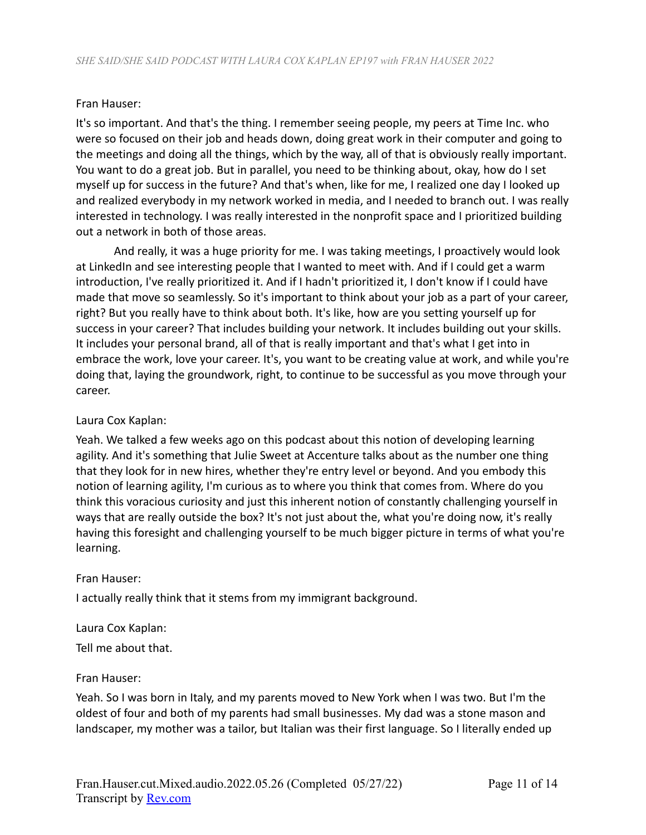#### Fran Hauser:

It's so important. And that's the thing. I remember seeing people, my peers at Time Inc. who were so focused on their job and heads down, doing great work in their computer and going to the meetings and doing all the things, which by the way, all of that is obviously really important. You want to do a great job. But in parallel, you need to be thinking about, okay, how do I set myself up for success in the future? And that's when, like for me, I realized one day I looked up and realized everybody in my network worked in media, and I needed to branch out. I was really interested in technology. I was really interested in the nonprofit space and I prioritized building out a network in both of those areas.

And really, it was a huge priority for me. I was taking meetings, I proactively would look at LinkedIn and see interesting people that I wanted to meet with. And if I could get a warm introduction, I've really prioritized it. And if I hadn't prioritized it, I don't know if I could have made that move so seamlessly. So it's important to think about your job as a part of your career, right? But you really have to think about both. It's like, how are you setting yourself up for success in your career? That includes building your network. It includes building out your skills. It includes your personal brand, all of that is really important and that's what I get into in embrace the work, love your career. It's, you want to be creating value at work, and while you're doing that, laying the groundwork, right, to continue to be successful as you move through your career.

#### Laura Cox Kaplan:

Yeah. We talked a few weeks ago on this podcast about this notion of developing learning agility. And it's something that Julie Sweet at Accenture talks about as the number one thing that they look for in new hires, whether they're entry level or beyond. And you embody this notion of learning agility, I'm curious as to where you think that comes from. Where do you think this voracious curiosity and just this inherent notion of constantly challenging yourself in ways that are really outside the box? It's not just about the, what you're doing now, it's really having this foresight and challenging yourself to be much bigger picture in terms of what you're learning.

#### Fran Hauser:

I actually really think that it stems from my immigrant background.

Laura Cox Kaplan: Tell me about that.

#### Fran Hauser:

Yeah. So I was born in Italy, and my parents moved to New York when I was two. But I'm the oldest of four and both of my parents had small businesses. My dad was a stone mason and landscaper, my mother was a tailor, but Italian was their first language. So I literally ended up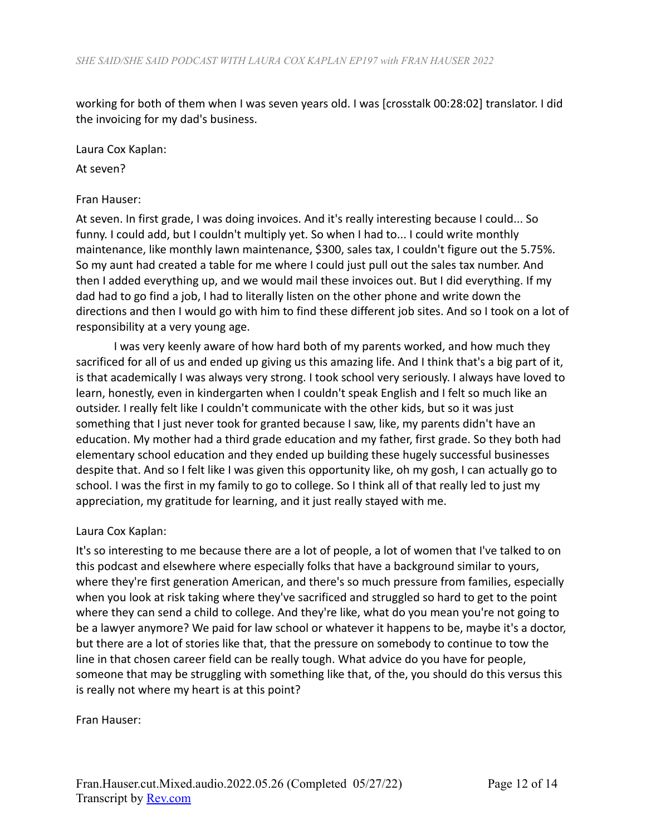working for both of them when I was seven years old. I was [crosstalk 00:28:02] translator. I did the invoicing for my dad's business.

Laura Cox Kaplan:

At seven?

### Fran Hauser:

At seven. In first grade, I was doing invoices. And it's really interesting because I could... So funny. I could add, but I couldn't multiply yet. So when I had to... I could write monthly maintenance, like monthly lawn maintenance, \$300, sales tax, I couldn't figure out the 5.75%. So my aunt had created a table for me where I could just pull out the sales tax number. And then I added everything up, and we would mail these invoices out. But I did everything. If my dad had to go find a job, I had to literally listen on the other phone and write down the directions and then I would go with him to find these different job sites. And so I took on a lot of responsibility at a very young age.

I was very keenly aware of how hard both of my parents worked, and how much they sacrificed for all of us and ended up giving us this amazing life. And I think that's a big part of it, is that academically I was always very strong. I took school very seriously. I always have loved to learn, honestly, even in kindergarten when I couldn't speak English and I felt so much like an outsider. I really felt like I couldn't communicate with the other kids, but so it was just something that I just never took for granted because I saw, like, my parents didn't have an education. My mother had a third grade education and my father, first grade. So they both had elementary school education and they ended up building these hugely successful businesses despite that. And so I felt like I was given this opportunity like, oh my gosh, I can actually go to school. I was the first in my family to go to college. So I think all of that really led to just my appreciation, my gratitude for learning, and it just really stayed with me.

### Laura Cox Kaplan:

It's so interesting to me because there are a lot of people, a lot of women that I've talked to on this podcast and elsewhere where especially folks that have a background similar to yours, where they're first generation American, and there's so much pressure from families, especially when you look at risk taking where they've sacrificed and struggled so hard to get to the point where they can send a child to college. And they're like, what do you mean you're not going to be a lawyer anymore? We paid for law school or whatever it happens to be, maybe it's a doctor, but there are a lot of stories like that, that the pressure on somebody to continue to tow the line in that chosen career field can be really tough. What advice do you have for people, someone that may be struggling with something like that, of the, you should do this versus this is really not where my heart is at this point?

Fran Hauser: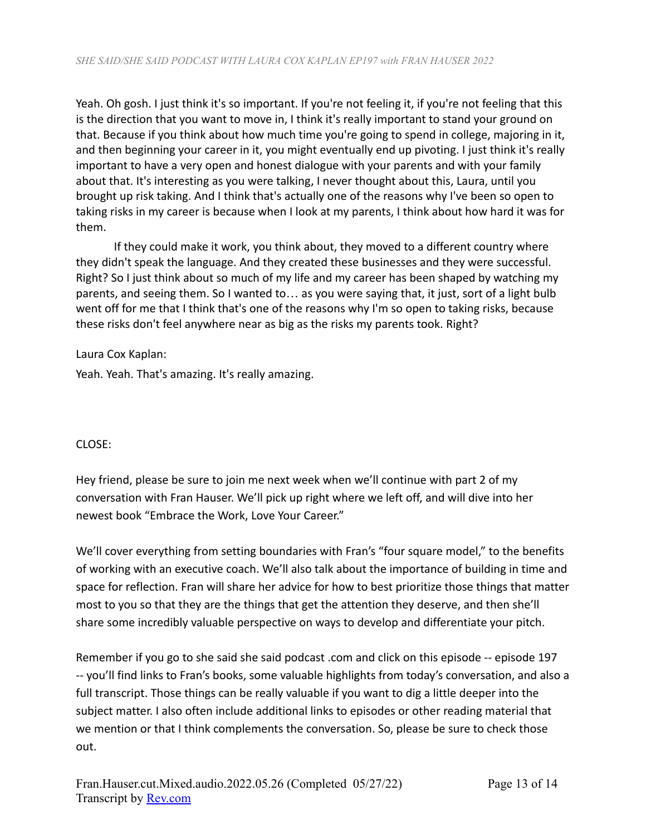Yeah. Oh gosh. I just think it's so important. If you're not feeling it, if you're not feeling that this is the direction that you want to move in, I think it's really important to stand your ground on that. Because if you think about how much time you're going to spend in college, majoring in it, and then beginning your career in it, you might eventually end up pivoting. I just think it's really important to have a very open and honest dialogue with your parents and with your family about that. It's interesting as you were talking, I never thought about this, Laura, until you brought up risk taking. And I think that's actually one of the reasons why I've been so open to taking risks in my career is because when I look at my parents, I think about how hard it was for them.

If they could make it work, you think about, they moved to a different country where they didn't speak the language. And they created these businesses and they were successful. Right? So I just think about so much of my life and my career has been shaped by watching my parents, and seeing them. So I wanted to… as you were saying that, it just, sort of a light bulb went off for me that I think that's one of the reasons why I'm so open to taking risks, because these risks don't feel anywhere near as big as the risks my parents took. Right?

Laura Cox Kaplan:

Yeah. Yeah. That's amazing. It's really amazing.

# CLOSE:

Hey friend, please be sure to join me next week when we'll continue with part 2 of my conversation with Fran Hauser. We'll pick up right where we left off, and will dive into her newest book "Embrace the Work, Love Your Career."

We'll cover everything from setting boundaries with Fran's "four square model," to the benefits of working with an executive coach. We'll also talk about the importance of building in time and space for reflection. Fran will share her advice for how to best prioritize those things that matter most to you so that they are the things that get the attention they deserve, and then she'll share some incredibly valuable perspective on ways to develop and differentiate your pitch.

Remember if you go to she said she said podcast .com and click on this episode -- episode 197 -- you'll find links to Fran's books, some valuable highlights from today's conversation, and also a full transcript. Those things can be really valuable if you want to dig a little deeper into the subject matter. I also often include additional links to episodes or other reading material that we mention or that I think complements the conversation. So, please be sure to check those out.